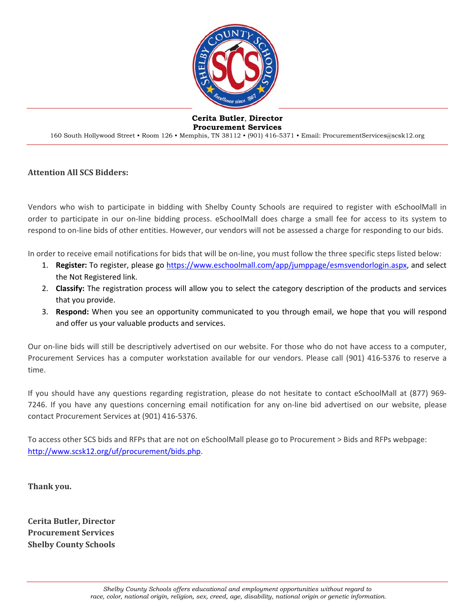

#### **Cerita Butler**, **Director Procurement Services**

160 South Hollywood Street • Room 126 • Memphis, TN 38112 • (901) 416-5371 • Email: ProcurementServices@scsk12.org

#### **Attention All SCS Bidders:**

Vendors who wish to participate in bidding with Shelby County Schools are required to register with eSchoolMall in order to participate in our on‐line bidding process. eSchoolMall does charge a small fee for access to its system to respond to on‐line bids of other entities. However, our vendors will not be assessed a charge for responding to our bids.

In order to receive email notifications for bids that will be on-line, you must follow the three specific steps listed below:

- 1. **Register:** To register, please go https://www.eschoolmall.com/app/jumppage/esmsvendorlogin.aspx, and select the Not Registered link.
- 2. **Classify:** The registration process will allow you to select the category description of the products and services that you provide.
- 3. **Respond:** When you see an opportunity communicated to you through email, we hope that you will respond and offer us your valuable products and services.

Our on-line bids will still be descriptively advertised on our website. For those who do not have access to a computer, Procurement Services has a computer workstation available for our vendors. Please call (901) 416‐5376 to reserve a time.

If you should have any questions regarding registration, please do not hesitate to contact eSchoolMall at (877) 969‐ 7246. If you have any questions concerning email notification for any on‐line bid advertised on our website, please contact Procurement Services at (901) 416‐5376.

To access other SCS bids and RFPs that are not on eSchoolMall please go to Procurement > Bids and RFPs webpage: http://www.scsk12.org/uf/procurement/bids.php.

**Thank you.**

**Cerita Butler, Director Procurement Services Shelby County Schools**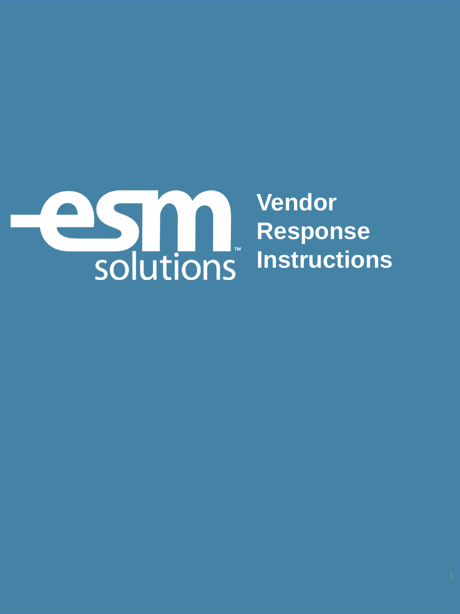

**Vendor Response Instructions**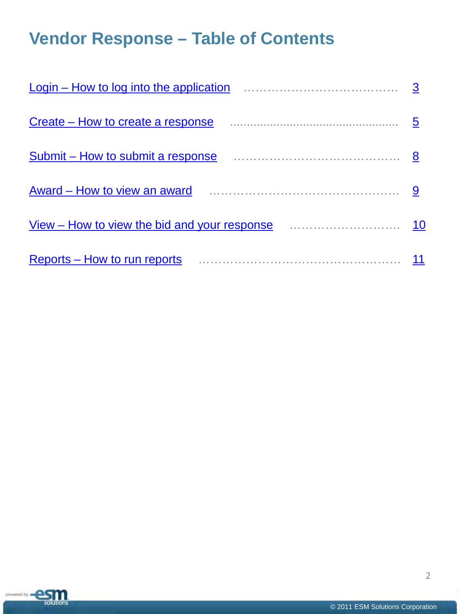# **Vendor Response – Table of Contents**

| Login – How to log into the application $\ldots$ $\ldots$ $\ldots$ $\ldots$ $\ldots$ $\ldots$ $\ldots$ 3                      |            |
|-------------------------------------------------------------------------------------------------------------------------------|------------|
| Create – How to create a response                                                                                             | 5          |
| Submit – How to submit a response <i>manufacture contained</i> with the submit – How to submit a response                     | $_{\rm 8}$ |
| Award – How to view an award                                                                                                  | 9          |
| View – How to view the bid and your response <i>manufour</i> manufolian with the View – How to view the bid and your response | 10         |
| Reports - How to run reports                                                                                                  | 11         |

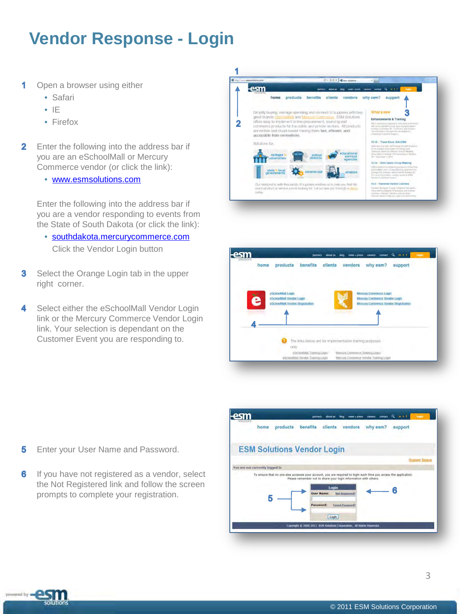## <span id="page-3-0"></span>**Vendor Response - Login**

- 1 Open a browser using either
	- Safari
	- IE
	- Firefox
- $\mathbf{2}$ Enter the following into the address bar if you are an eSchoolMall or Mercury Commerce vendor (or click the link):
	- [www.esmsolutions.com](http://www.esmsolutions.com/)

Enter the following into the address bar if you are a vendor responding to events from the State of South Dakota (or click the link):

- [southdakota.mercurycommerce.com](https://southdakota.mercurycommerce.com/)  Click the Vendor Login button
- Select the Orange Login tab in the upper 3 right corner.
- 4 Select either the eSchoolMall Vendor Login link or the Mercury Commerce Vendor Login link. Your selection is dependant on the Customer Event you are responding to.





Enter your User Name and Password. 5

powered by **QS** 

. . solutions

6 If you have not registered as a vendor, select the Not Registered link and follow the screen prompts to complete your registration.

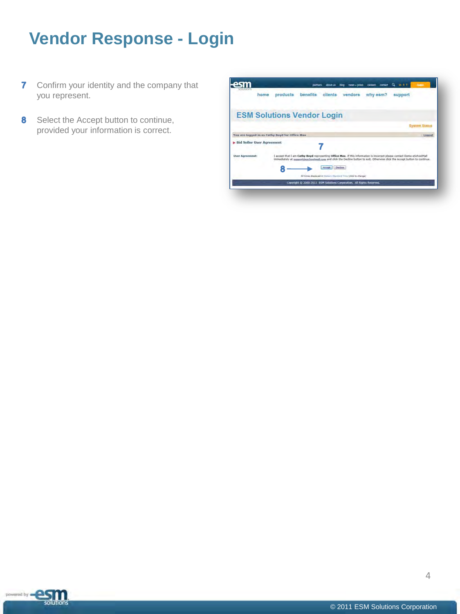# **Vendor Response - Login**

- **7** Confirm your identity and the company that you represent.
- 8 Select the Accept button to continue, provided your information is correct.

|                             | products<br>home                               | benefits | clients           | vendors | why esm? | support                                                                                                                                                                                                                                                 |
|-----------------------------|------------------------------------------------|----------|-------------------|---------|----------|---------------------------------------------------------------------------------------------------------------------------------------------------------------------------------------------------------------------------------------------------------|
|                             | <b>ESM Solutions Vendor Login</b>              |          |                   |         |          |                                                                                                                                                                                                                                                         |
|                             |                                                |          |                   |         |          | <b>System Status</b>                                                                                                                                                                                                                                    |
|                             | You are logged in as Cathy Boyd for Office Max |          |                   |         |          | Logout                                                                                                                                                                                                                                                  |
| > Bid Seller User Agreement |                                                |          |                   |         |          |                                                                                                                                                                                                                                                         |
| <b>User Agreement:</b>      |                                                |          |                   |         |          | 1 accept that I am Cathy Boyd representing Office Max. If this information is incorrect please contact Demo eSchoolMall<br>immediately at supportineschoolmail.com and click the Decline button to exit. Otherwise click the Accept button to continue. |
|                             |                                                |          |                   |         |          |                                                                                                                                                                                                                                                         |
|                             |                                                |          | Dedine<br>Accept. |         |          |                                                                                                                                                                                                                                                         |

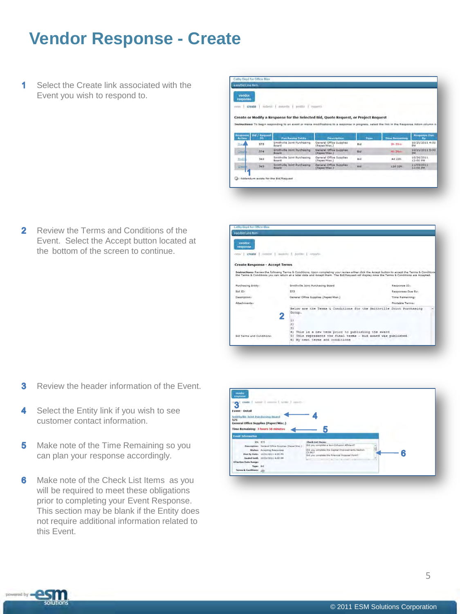## <span id="page-5-0"></span>**Vendor Response - Create**

1 Select the Create link associated with the Event you wish to respond to.

| vendor<br><b>FUSDONAG</b> |                 |                                                                                                                                                |                                                  |       |                       |                               |
|---------------------------|-----------------|------------------------------------------------------------------------------------------------------------------------------------------------|--------------------------------------------------|-------|-----------------------|-------------------------------|
| create<br>William         | fuldbergs 1     | ally painting<br><b>BIFIELD</b>                                                                                                                | Personnelle.                                     |       |                       |                               |
|                           |                 |                                                                                                                                                |                                                  |       |                       |                               |
|                           |                 | Create or Modify a Response for the Selected Bid, Quote Request, or Project Request                                                            |                                                  |       |                       |                               |
|                           |                 | Instructions: To begin responding to an event or make modifications to a response in progress, select the link in the Response Action inform n |                                                  |       |                       |                               |
|                           |                 |                                                                                                                                                |                                                  |       |                       |                               |
|                           | that / Request  |                                                                                                                                                |                                                  |       |                       | <b>Response Oue</b>           |
| Response<br>Artico        | 10 <sub>1</sub> | <b>Purchasing Entity</b>                                                                                                                       | <b>Description</b>                               | Type: | <b>Time Bernaming</b> |                               |
| Comp                      | 575             | Smithville Joint Purchasing<br>Betwell.                                                                                                        | General Office Supplies<br>(Paper/Misc.)         | Bid   | 3h. Street            | 10/21/2011 4:00<br><b>SM</b>  |
| $Q = 0$                   | 574             | Smithville Joint Purchasing<br><b>Briant</b>                                                                                                   | <b>General Office Supplies</b><br>(Danser/Miss.) | Bid   | Alt. There            | 10/21/2011 5:00<br><b>DIA</b> |
| thistly)                  | 563             | Smithville Joint Purchasing<br>Barant.                                                                                                         | General Office Supplies<br>(Dapar/Misz.)         | Bid.  | 4d 23h                | 10/26/2011<br>12:00 PM        |
| $Q = 0$                   | 565             | Smithville Joint Purchasing<br><b>Briant</b>                                                                                                   | General Office Supplies<br>(Damar/Miss.)         | Bid   | 12d 23h               | 11/03/2011<br>12:00 PM        |

Cathy Boyd for Office Max

 $\overline{2}$ Review the Terms and Conditions of the Event. Select the Accept button located at the bottom of the screen to continue.



- Review the header information of the Event. 3
- 4 Select the Entity link if you wish to see customer contact information.
- 5 Make note of the Time Remaining so you can plan your response accordingly.
- 6 Make note of the Check List Items as you will be required to meet these obligations prior to completing your Event Response. This section may be blank if the Entity does not require additional information related to this Event.

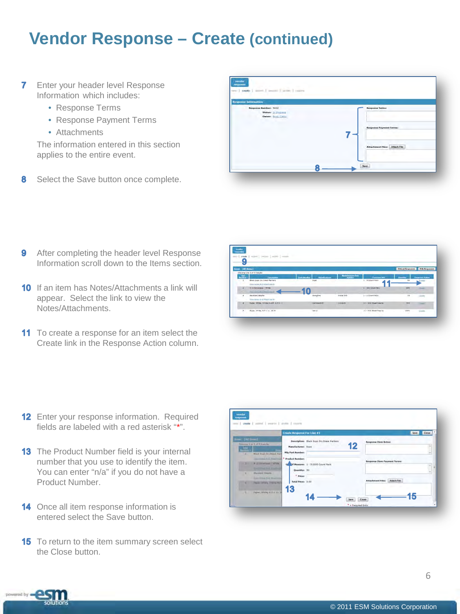### **Vendor Response – Create (continued)**

- $\overline{7}$ Enter your header level Response Information which includes:
	- Response Terms
	- Response Payment Terms
	- Attachments

The information entered in this section applies to the entire event.

8 Select the Save button once complete.

| <b>Response Information</b>           |                                |
|---------------------------------------|--------------------------------|
| <b>Rasponse Mamber: 2432</b>          | <b>Response Termut</b>         |
| States: It Polices<br>Owner buildings |                                |
|                                       | <b>Response Payment Terms:</b> |
|                                       |                                |
|                                       |                                |
|                                       | Attachment Files: Attach File  |
|                                       | <b>Contract Contract</b>       |

- 9 After completing the header level Response Information scroll down to the Items section.
- **10** If an item has Notes/Attachments a link will appear. Select the link to view the Notes/Attachments.
- 11 To create a response for an item select the Create link in the Response Action column.

|                         | swak I want I want I want I want    |                                                                                     |                           |                               |                                       |                                        |
|-------------------------|-------------------------------------|-------------------------------------------------------------------------------------|---------------------------|-------------------------------|---------------------------------------|----------------------------------------|
| Ŝ                       |                                     |                                                                                     |                           |                               |                                       |                                        |
|                         |                                     |                                                                                     |                           |                               |                                       |                                        |
| <b>Dress (All Dans)</b> |                                     |                                                                                     |                           |                               | <b>Discut lexposes</b> With Responses |                                        |
|                         | Shevera 1 to 1 of 1 Kesata          |                                                                                     |                           |                               |                                       |                                        |
| æ.                      | <b>Secretary</b>                    | <b><i><u>Contractor Contractor</u></i></b><br><b><i><u>Property players</u></i></b> | <b>Being County First</b> | <b>Particular and</b>         |                                       | <b><i><u>Linkering Address</u></i></b> |
|                         | Mark Sept. Dry Sreet Partiers       | <b>Dupo</b>                                                                         |                           | B Court Pass                  | <b>Ex</b>                             | Santa                                  |
|                         | <b>Data work ALLA Exclusion</b>     |                                                                                     |                           |                               |                                       |                                        |
| ×                       | 4.10 because - little               |                                                                                     |                           | 1 - DVI Clued Bale            | 289                                   | <b>Sunt</b>                            |
|                         | they been the little front of       |                                                                                     |                           |                               |                                       |                                        |
| ٠                       | impropert angeler                   | serging                                                                             | <b>Wedal Set</b>          | a v.a slower train.           | $^{\circ}$                            | 123,972                                |
|                         | Time Array Ar & Atlanticus At-      |                                                                                     |                           |                               |                                       |                                        |
| ٠                       | Today, White, D-544 Fund, & T-8-11. | <b>Hamburghi</b>                                                                    | <b>EXPARK</b>             | <b>36 - Star Shadd Hoarne</b> | <b>THE</b>                            | -                                      |
|                         | False, 174x, 1.7 x 11. 22 lb.       |                                                                                     |                           | 11 - 510 Shald Rawton         |                                       |                                        |
|                         |                                     | <b>May</b><br>$\sim$                                                                |                           |                               | 1489                                  | <b>CASHE</b>                           |

- 12 Enter your response information. Required fields are labeled with a red asterisk "\*".
- **13** The Product Number field is your internal number that you use to identify the item. You can enter "n/a" if you do not have a Product Number.
- 14 Once all item response information is entered select the Save button.
- **15** To return to the item summary screen select the Close button.

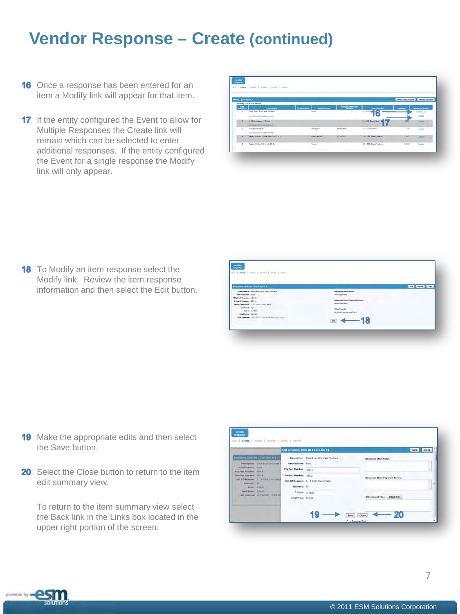#### **Vendor Response – Create (continued)**

- **16** Once a response has been entered for an item a Modify link will appear for that item.
- 17 If the entity configured the Event to allow for Multiple Responses the Create link will remain which can be selected to enter additional responses. If the entity configured the Event for a single response the Modify link will only appear.

|                | con 1-gast 1 June 3 minute 1 June 1 June |                                    |                    |                        |                                       |                                                                                                |
|----------------|------------------------------------------|------------------------------------|--------------------|------------------------|---------------------------------------|------------------------------------------------------------------------------------------------|
|                |                                          |                                    |                    |                        |                                       |                                                                                                |
|                | Seed (All Henry)                         |                                    |                    |                        | different Seasonness  Valle Forganise |                                                                                                |
|                | Shawing it by 9 of 9 Kanyley             |                                    |                    |                        |                                       |                                                                                                |
| -22-           | <b>Change Street</b>                     | <b>Bandadore</b><br><b>Heather</b> | <b>Nationalist</b> | <b>Stationer State</b> | والتسمرا                              | <b>Beams Arter</b>                                                                             |
|                | <b>Rack From Dry Fresh Hollans</b>       | Seven                              |                    | <b>A DOMESTIC</b>      |                                       | min(L1)                                                                                        |
|                | Gene Modern A. A. African constant       |                                    |                    | ю                      |                                       | aisste                                                                                         |
| $\sim$         | . 12 Sharages Write                      |                                    |                    | 1 105 Court See d      | 395                                   | $\frac{1}{2} \left( \frac{1}{2} \right) \left( \frac{1}{2} \right) \left( \frac{1}{2} \right)$ |
|                | san Australia District County            |                                    |                    |                        |                                       |                                                                                                |
| $\overline{a}$ | <b>Handard Indexer</b>                   | <b>Derigina</b>                    | Midle 318          | $L-1$ small track      | <b>IS</b>                             | $-22$                                                                                          |
|                | tion School Harvarder                    |                                    |                    |                        |                                       |                                                                                                |
| ٠              | Paper, White, Smille Partiti, 4.5 at 21. | <b><i><u>AMERICA</u></i></b>       | <b>STS-214</b>     | 15-1500 Stout Fourte   | <b>SAF</b>                            | $-1$                                                                                           |
| ٠              | Tagen (49dm, 2-3 c.1), 20 lb             | <b>Never</b>                       |                    | 42 - 500 Diese Faarre  | 1240                                  | $\sim$                                                                                         |

**18** To Modify an item response select the Modify link. Review the item response information and then select the Edit button.

| <b>GAT FOR LIGHT LOW LIGHT</b>                    |                                  |                          |
|---------------------------------------------------|----------------------------------|--------------------------|
|                                                   |                                  |                          |
| <b>Because Des 20 1 For Line at 1</b>             |                                  | <b>That Freeman Comp</b> |
| Vescriptions - shock dope by brood Horkorn        | <b>Harpoles a Steen Boston I</b> |                          |
| <b>Renderlanes</b> Size                           | lara secrital                    |                          |
| <b>Mig Fact Numbers 120 2</b>                     |                                  |                          |
| Fredericksminn, 200-4                             | Herpouse Heat Payment Jerry      |                          |
| Melt Of Mexicolar 1-1.5000 Court Park             | New Jersey                       |                          |
| Quantity: 31                                      | Attachments:                     |                          |
| <b>THEFT A FACT</b>                               | tic statiments special.          |                          |
| Total freese 225-30                               |                                  |                          |
| Levi Melanted: 18/21/2213 12/20 PM by 2010, Jorn- |                                  |                          |
|                                                   | $\leftarrow$ 18<br>14            |                          |

- **19** Make the appropriate edits and then select the Save button.
- 20 Select the Close button to return to the item edit summary view.

To return to the item summary view select the Back link in the Links box located in the upper right portion of the screen.



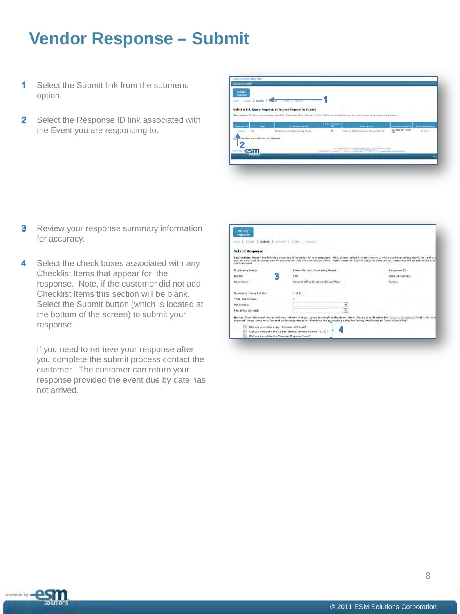## <span id="page-8-0"></span>**Vendor Response – Submit**

- Select the Submit link from the submenu 1 option.
- 2 Select the Response ID link associated with the Event you are responding to.



- **3** Review your response summary information for accuracy.
- 4 Select the check boxes associated with any Checklist Items that appear for the response. Note, if the customer did not add Checklist Items this section will be blank. Select the Submit button (which is located at the bottom of the screen) to submit your response.

If you need to retrieve your response after you complete the submit process contact the customer. The customer can return your response provided the event due by date has not arrived.

| msponse<br><b>Housts</b><br>satmit I<br>$x = 0$ | month.<br>grotiste                                                                                                                                                                                                                                                                                                   |                     |
|-------------------------------------------------|----------------------------------------------------------------------------------------------------------------------------------------------------------------------------------------------------------------------------------------------------------------------------------------------------------------------|---------------------|
| <b>Submit Response</b>                          |                                                                                                                                                                                                                                                                                                                      |                     |
| your response.                                  | Instructions: Review the following summary information of your response. Also, please select a contact name to which purchase orders should be sent and<br>with to View your response prior to submission click the View button below. Note - once the Submit button is selected your response will be submitted and |                     |
| Durrhasing Entity:                              | Smithvilla Joint Purchasing Soard                                                                                                                                                                                                                                                                                    | <b>Response (D)</b> |
| S<br>flid ID:                                   | 575                                                                                                                                                                                                                                                                                                                  | Time Remainings     |
| <b>Description:</b>                             | Ceneral Office Supplies (Faper/Misc.)                                                                                                                                                                                                                                                                                | Terms:              |
| Number of Zterns Bid Dru                        | $df =$                                                                                                                                                                                                                                                                                                               |                     |
| Total Responses:                                |                                                                                                                                                                                                                                                                                                                      |                     |
| <b>PO Contact:</b>                              | E.                                                                                                                                                                                                                                                                                                                   |                     |
| Faa Billing Contact:                            | $\overline{\mathbf{r}}$                                                                                                                                                                                                                                                                                              |                     |
|                                                 | Notice: Chack the check hoxes balow to indicate that you agree to complete the items listed. Please consult aither the Terms & Donotheon for this field or of<br>required, these items must be sent under separate cover directly to the purchasing entity facilitating the flid not to Demo eSchoolkial!            |                     |
| Did you complete a figh-Collusion Minsaye?      |                                                                                                                                                                                                                                                                                                                      |                     |
|                                                 | z<br>Did you complate the Capital Improvements Senior (3.36)?                                                                                                                                                                                                                                                        |                     |

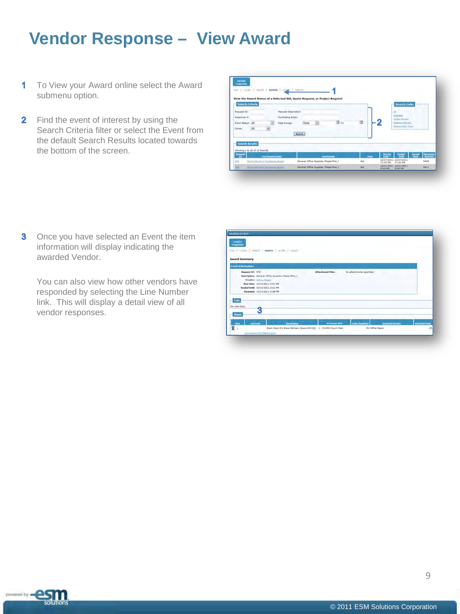### <span id="page-9-0"></span>**Vendor Response – View Award**

- To View your Award online select the Award  $\mathbf 1$ submenu option.
- **2** Find the event of interest by using the Search Criteria filter or select the Event from the default Search Results located towards the bottom of the screen.

|                               | Soarch Criteria       |                                                                  |                           | View the Award Status of a Selected Bid, Quote Request, or Project Request |                |                           |                | Starch Links                           |                            |
|-------------------------------|-----------------------|------------------------------------------------------------------|---------------------------|----------------------------------------------------------------------------|----------------|---------------------------|----------------|----------------------------------------|----------------------------|
| Request (Gr)                  |                       |                                                                  | Resident Description:     |                                                                            |                |                           |                | 141                                    |                            |
| Rasponse #1                   |                       |                                                                  | <b>Purchasing Entity:</b> |                                                                            |                |                           |                | <b>Amidst</b><br><b>Ulder Section</b>  |                            |
| <b>Event Statue: All</b>      |                       | $\overline{\cdot}$                                               | Date Ranger               | ٠<br>None                                                                  | $\exists$ To   | в                         |                | Austria Tenni<br><b>RASSINALT Date</b> |                            |
| Distant                       | At                    | $\bullet$                                                        |                           |                                                                            |                |                           |                |                                        |                            |
|                               |                       |                                                                  |                           | <b>Search</b>                                                              |                |                           |                |                                        |                            |
|                               | <b>Search Results</b> |                                                                  |                           |                                                                            |                |                           |                |                                        |                            |
|                               |                       |                                                                  |                           |                                                                            |                |                           |                |                                        |                            |
|                               |                       |                                                                  |                           |                                                                            |                |                           | <b>Control</b> | Storing                                | Awazd<br><b>Management</b> |
| Showing 1 to 12 of 12 Results |                       |                                                                  |                           |                                                                            |                |                           |                |                                        | <b>UNITS</b>               |
| Æ<br>244                      |                       | <b>Part National Entrance</b><br>Berthulla Bird Porthumore Baged |                           | General Office Supplies (Paper/Miss.)                                      | <b>UNIOTED</b> | <b>FREE</b><br><b>Bid</b> | 12:00 PM       | 10/21/2011 10/21/2011<br>1.7:00 PM     | 5405                       |

**3** Once you have selected an Event the item information will display indicating the awarded Vendor.

You can also view how other vendors have responded by selecting the Line Number link. This will display a detail view of all vendor responses.

| response<br>same Pricede T senate.<br><b>Award Summary</b> | awares /<br>product of sums                                                                                                                    |                          |                            |                       |                      |
|------------------------------------------------------------|------------------------------------------------------------------------------------------------------------------------------------------------|--------------------------|----------------------------|-----------------------|----------------------|
| <b>Fount Information</b>                                   |                                                                                                                                                |                          |                            |                       |                      |
| Request 10: 57K                                            | Descriptions: demeni Office Dupples (Faper(Mez.))<br>Creation Gift a Homer<br>Day Date: 10/21/2011 2:31 PM<br>Sealed Until: 10/21/2011 2:31 PM | <b>Altachmont Films:</b> | lis attachments specified. |                       |                      |
| Luts                                                       | Awarded: 13/21/2011 2:36 PM                                                                                                                    |                          |                            |                       |                      |
| <b>No Lista Keigh</b><br><b>Items</b>                      | 3                                                                                                                                              |                          |                            |                       |                      |
|                                                            |                                                                                                                                                |                          |                            | <b>Aussied Venter</b> | <b>Aimedal lints</b> |

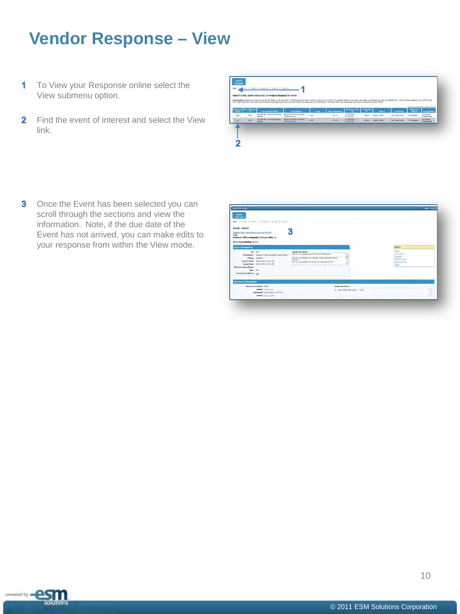## <span id="page-10-0"></span>**Vendor Response – View**

- 1 To View your Response online select the View submenu option.
- **2** Find the event of interest and select the View link.



**3** Once the Event has been selected you can scroll through the sections and view the information. Note, if the due date of the Event has not arrived, you can make edits to your response from within the View mode.